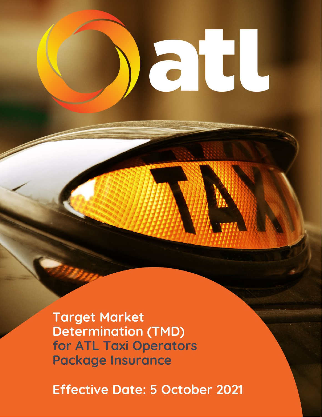**Target Market Determination (TMD)** for ATL Taxi Operators **Package Insurance** 

**Effective Date: 5 October 2021** 

at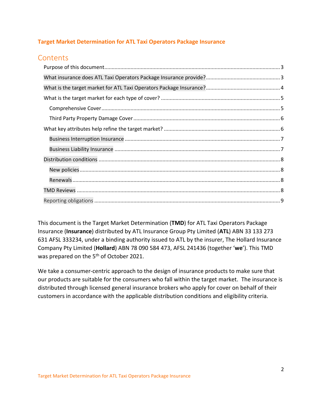# **Target Market Determination for ATL Taxi Operators Package Insurance**

# **Contents**

This document is the Target Market Determination (**TMD**) for ATL Taxi Operators Package Insurance (**Insurance**) distributed by ATL Insurance Group Pty Limited (**ATL**) ABN 33 133 273 631 AFSL 333234, under a binding authority issued to ATL by the insurer, The Hollard Insurance Company Pty Limited (**Hollard**) ABN 78 090 584 473, AFSL 241436 (together '**we**'). This TMD was prepared on the 5<sup>th</sup> of October 2021.

<span id="page-1-0"></span>We take a consumer-centric approach to the design of insurance products to make sure that our products are suitable for the consumers who fall within the target market. The insurance is distributed through licensed general insurance brokers who apply for cover on behalf of their customers in accordance with the applicable distribution conditions and eligibility criteria.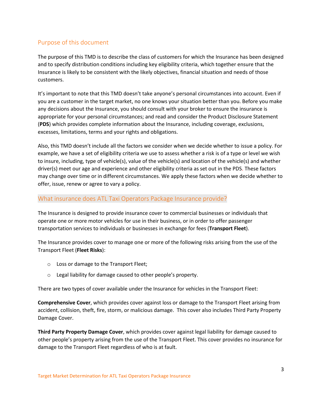# Purpose of this document

The purpose of this TMD is to describe the class of customers for which the Insurance has been designed and to specify distribution conditions including key eligibility criteria, which together ensure that the Insurance is likely to be consistent with the likely objectives, financial situation and needs of those customers.

It's important to note that this TMD doesn't take anyone's personal circumstances into account. Even if you are a customer in the target market, no one knows your situation better than you. Before you make any decisions about the Insurance, you should consult with your broker to ensure the insurance is appropriate for your personal circumstances; and read and consider the Product Disclosure Statement (**PDS**) which provides complete information about the Insurance, including coverage, exclusions, excesses, limitations, terms and your rights and obligations.

Also, this TMD doesn't include all the factors we consider when we decide whether to issue a policy. For example, we have a set of eligibility criteria we use to assess whether a risk is of a type or level we wish to insure, including, type of vehicle(s), value of the vehicle(s) and location of the vehicle(s) and whether driver(s) meet our age and experience and other eligibility criteria as set out in the PDS. These factors may change over time or in different circumstances. We apply these factors when we decide whether to offer, issue, renew or agree to vary a policy.

### <span id="page-2-0"></span>What insurance does ATL Taxi Operators Package Insurance provide?

The Insurance is designed to provide insurance cover to commercial businesses or individuals that operate one or more motor vehicles for use in their business, or in order to offer passenger transportation services to individuals or businesses in exchange for fees (**Transport Fleet**).

The Insurance provides cover to manage one or more of the following risks arising from the use of the Transport Fleet (**Fleet Risks**):

- o Loss or damage to the Transport Fleet;
- o Legal liability for damage caused to other people's property.

There are two types of cover available under the Insurance for vehicles in the Transport Fleet:

**Comprehensive Cover**, which provides cover against loss or damage to the Transport Fleet arising from accident, collision, theft, fire, storm, or malicious damage. This cover also includes Third Party Property Damage Cover.

**Third Party Property Damage Cover**, which provides cover against legal liability for damage caused to other people's property arising from the use of the Transport Fleet. This cover provides no insurance for damage to the Transport Fleet regardless of who is at fault.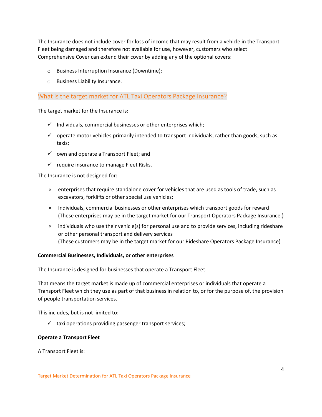The Insurance does not include cover for loss of income that may result from a vehicle in the Transport Fleet being damaged and therefore not available for use, however, customers who select Comprehensive Cover can extend their cover by adding any of the optional covers:

- o Business Interruption Insurance (Downtime);
- o Business Liability Insurance.

### <span id="page-3-0"></span>What is the target market for ATL Taxi Operators Package Insurance?

The target market for the Insurance is:

- $\checkmark$  Individuals, commercial businesses or other enterprises which;
- $\checkmark$  operate motor vehicles primarily intended to transport individuals, rather than goods, such as taxis;
- $\checkmark$  own and operate a Transport Fleet; and
- $\checkmark$  require insurance to manage Fleet Risks.

The Insurance is not designed for:

- × enterprises that require standalone cover for vehicles that are used as tools of trade, such as excavators, forklifts or other special use vehicles;
- × Individuals, commercial businesses or other enterprises which transport goods for reward (These enterprises may be in the target market for our Transport Operators Package Insurance.)
- × individuals who use their vehicle(s) for personal use and to provide services, including rideshare or other personal transport and delivery services (These customers may be in the target market for our Rideshare Operators Package Insurance)

#### **Commercial Businesses, Individuals, or other enterprises**

The Insurance is designed for businesses that operate a Transport Fleet.

That means the target market is made up of commercial enterprises or individuals that operate a Transport Fleet which they use as part of that business in relation to, or for the purpose of, the provision of people transportation services.

This includes, but is not limited to:

 $\checkmark$  taxi operations providing passenger transport services;

#### **Operate a Transport Fleet**

A Transport Fleet is: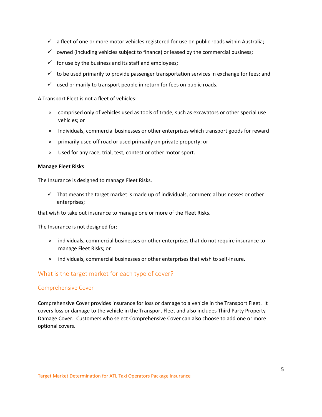- $\checkmark$  a fleet of one or more motor vehicles registered for use on public roads within Australia;
- $\checkmark$  owned (including vehicles subject to finance) or leased by the commercial business;
- $\checkmark$  for use by the business and its staff and employees;
- $\checkmark$  to be used primarily to provide passenger transportation services in exchange for fees; and
- $\checkmark$  used primarily to transport people in return for fees on public roads.

A Transport Fleet is not a fleet of vehicles:

- × comprised only of vehicles used as tools of trade, such as excavators or other special use vehicles; or
- × Individuals, commercial businesses or other enterprises which transport goods for reward
- × primarily used off road or used primarily on private property; or
- × Used for any race, trial, test, contest or other motor sport.

#### **Manage Fleet Risks**

The Insurance is designed to manage Fleet Risks.

 $\checkmark$  That means the target market is made up of individuals, commercial businesses or other enterprises;

that wish to take out insurance to manage one or more of the Fleet Risks.

The Insurance is not designed for:

- × individuals, commercial businesses or other enterprises that do not require insurance to manage Fleet Risks; or
- × individuals, commercial businesses or other enterprises that wish to self-insure.

# <span id="page-4-0"></span>What is the target market for each type of cover?

#### <span id="page-4-1"></span>Comprehensive Cover

Comprehensive Cover provides insurance for loss or damage to a vehicle in the Transport Fleet. It covers loss or damage to the vehicle in the Transport Fleet and also includes Third Party Property Damage Cover. Customers who select Comprehensive Cover can also choose to add one or more optional covers.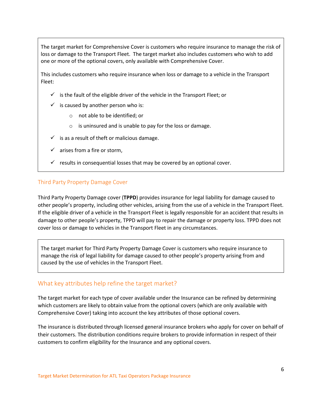The target market for Comprehensive Cover is customers who require insurance to manage the risk of loss or damage to the Transport Fleet. The target market also includes customers who wish to add one or more of the optional covers, only available with Comprehensive Cover.

This includes customers who require insurance when loss or damage to a vehicle in the Transport Fleet:

- $\checkmark$  is the fault of the eligible driver of the vehicle in the Transport Fleet; or
- $\checkmark$  is caused by another person who is:
	- o not able to be identified; or
	- o is uninsured and is unable to pay for the loss or damage.
- $\checkmark$  is as a result of theft or malicious damage.
- $\checkmark$  arises from a fire or storm,
- $\checkmark$  results in consequential losses that may be covered by an optional cover.

#### <span id="page-5-0"></span>Third Party Property Damage Cover

Third Party Property Damage cover (**TPPD**) provides insurance for legal liability for damage caused to other people's property, including other vehicles, arising from the use of a vehicle in the Transport Fleet. If the eligible driver of a vehicle in the Transport Fleet is legally responsible for an accident that results in damage to other people's property, TPPD will pay to repair the damage or property loss. TPPD does not cover loss or damage to vehicles in the Transport Fleet in any circumstances.

The target market for Third Party Property Damage Cover is customers who require insurance to manage the risk of legal liability for damage caused to other people's property arising from and caused by the use of vehicles in the Transport Fleet.

### <span id="page-5-1"></span>What key attributes help refine the target market?

The target market for each type of cover available under the Insurance can be refined by determining which customers are likely to obtain value from the optional covers (which are only available with Comprehensive Cover) taking into account the key attributes of those optional covers.

The insurance is distributed through licensed general insurance brokers who apply for cover on behalf of their customers. The distribution conditions require brokers to provide information in respect of their customers to confirm eligibility for the Insurance and any optional covers.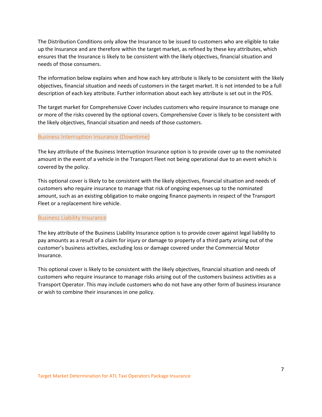The Distribution Conditions only allow the Insurance to be issued to customers who are eligible to take up the Insurance and are therefore within the target market, as refined by these key attributes, which ensures that the Insurance is likely to be consistent with the likely objectives, financial situation and needs of those consumers.

The information below explains when and how each key attribute is likely to be consistent with the likely objectives, financial situation and needs of customers in the target market. It is not intended to be a full description of each key attribute. Further information about each key attribute is set out in the PDS.

The target market for Comprehensive Cover includes customers who require insurance to manage one or more of the risks covered by the optional covers. Comprehensive Cover is likely to be consistent with the likely objectives, financial situation and needs of those customers.

#### <span id="page-6-0"></span>Business Interruption Insurance (Downtime)

The key attribute of the Business Interruption Insurance option is to provide cover up to the nominated amount in the event of a vehicle in the Transport Fleet not being operational due to an event which is covered by the policy.

This optional cover is likely to be consistent with the likely objectives, financial situation and needs of customers who require insurance to manage that risk of ongoing expenses up to the nominated amount, such as an existing obligation to make ongoing finance payments in respect of the Transport Fleet or a replacement hire vehicle.

#### <span id="page-6-1"></span>Business Liability Insurance

The key attribute of the Business Liability Insurance option is to provide cover against legal liability to pay amounts as a result of a claim for injury or damage to property of a third party arising out of the customer's business activities, excluding loss or damage covered under the Commercial Motor Insurance.

<span id="page-6-2"></span>This optional cover is likely to be consistent with the likely objectives, financial situation and needs of customers who require insurance to manage risks arising out of the customers business activities as a Transport Operator. This may include customers who do not have any other form of business insurance or wish to combine their insurances in one policy.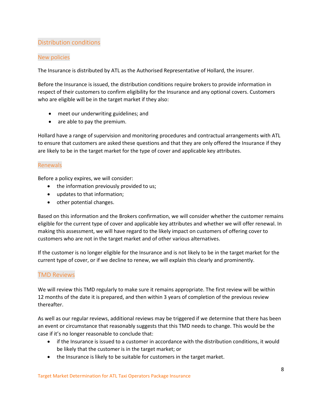# Distribution conditions

### <span id="page-7-0"></span>New policies

The Insurance is distributed by ATL as the Authorised Representative of Hollard, the insurer.

Before the Insurance is issued, the distribution conditions require brokers to provide information in respect of their customers to confirm eligibility for the Insurance and any optional covers. Customers who are eligible will be in the target market if they also:

- meet our underwriting guidelines; and
- are able to pay the premium.

Hollard have a range of supervision and monitoring procedures and contractual arrangements with ATL to ensure that customers are asked these questions and that they are only offered the Insurance if they are likely to be in the target market for the type of cover and applicable key attributes.

## <span id="page-7-1"></span>Renewals

Before a policy expires, we will consider:

- the information previously provided to us;
- updates to that information;
- other potential changes.

Based on this information and the Brokers confirmation, we will consider whether the customer remains eligible for the current type of cover and applicable key attributes and whether we will offer renewal. In making this assessment, we will have regard to the likely impact on customers of offering cover to customers who are not in the target market and of other various alternatives.

If the customer is no longer eligible for the Insurance and is not likely to be in the target market for the current type of cover, or if we decline to renew, we will explain this clearly and prominently.

# <span id="page-7-2"></span>TMD Reviews

We will review this TMD regularly to make sure it remains appropriate. The first review will be within 12 months of the date it is prepared, and then within 3 years of completion of the previous review thereafter.

As well as our regular reviews, additional reviews may be triggered if we determine that there has been an event or circumstance that reasonably suggests that this TMD needs to change. This would be the case if it's no longer reasonable to conclude that:

- if the Insurance is issued to a customer in accordance with the distribution conditions, it would be likely that the customer is in the target market; or
- the Insurance is likely to be suitable for customers in the target market.

Target Market Determination for ATL Taxi Operators Package Insurance